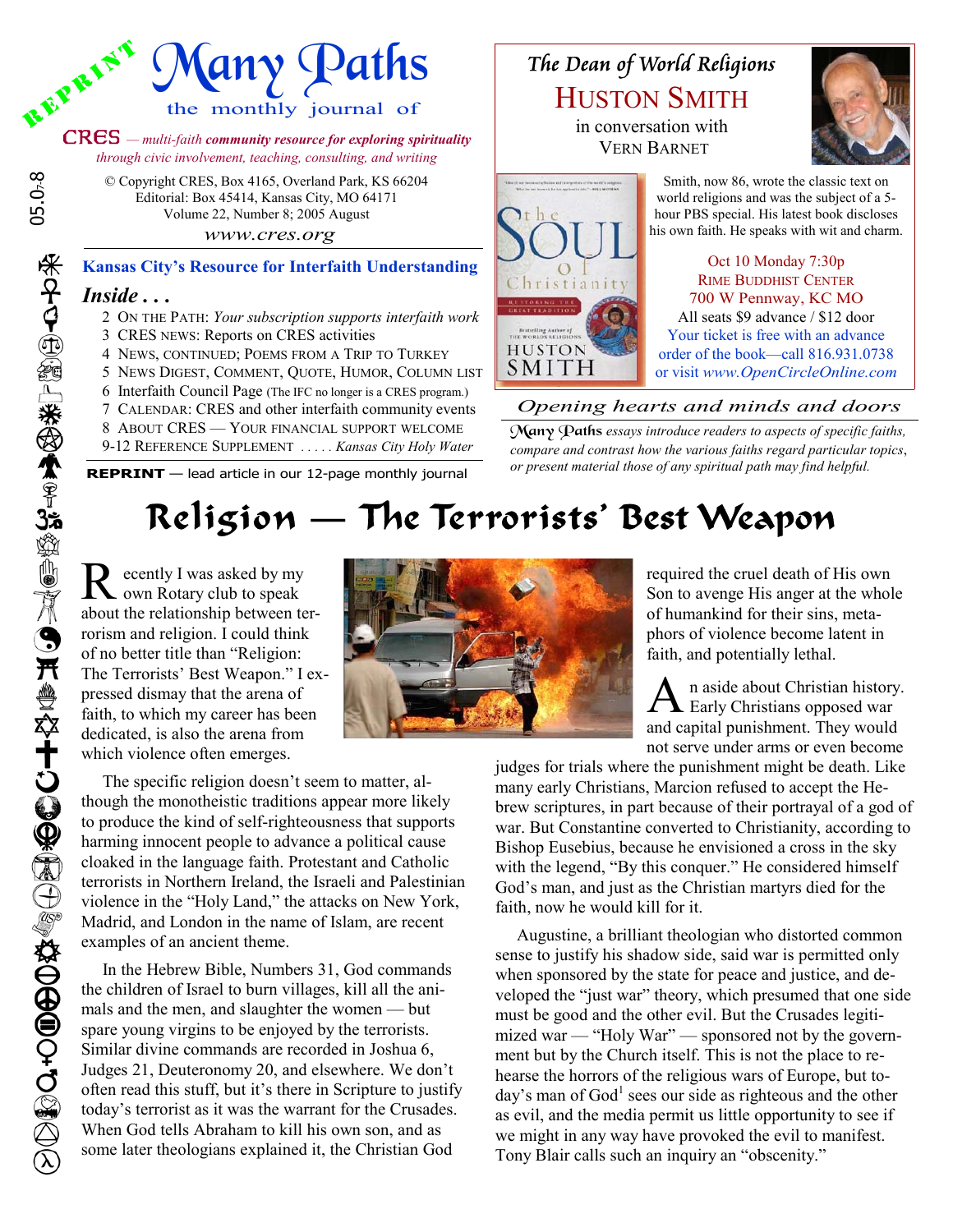

CRES *— multi-faith community resource for exploring spirituality through civic involvement, teaching, consulting, and writing*

> © Copyright CRES, Box 4165, Overland Park, KS 66204 Editorial: Box 45414, Kansas City, MO 64171 Volume 22, Number 8; 2005 August  *www.cres.org*

*Inside . . .* **Kansas City's Resource for Interfaith Understanding**

- 2 ON THE PATH: *Your subscription supports interfaith work*
- 3 CRES NEWS: Reports on CRES activities
- 4 NEWS, CONTINUED; POEMS FROM A TRIP TO TURKEY
- 5 NEWS DIGEST, COMMENT, QUOTE, HUMOR, COLUMN LIST
- 6 Interfaith Council Page (The IFC no longer is a CRES program.) 7 CALENDAR: CRES and other interfaith community events
- 8 ABOUT CRES YOUR FINANCIAL SUPPORT WELCOME
- 9-12 REFERENCE SUPPLEMENT *. . . . . Kansas City Holy Water*

**REPRINT** — lead article in our 12-page monthly journal

## The Dean of World Religions HUSTON SMITH

in conversation with VERN BARNET



Smith, now 86, wrote the classic text on world religions and was the subject of a 5 hour PBS special. His latest book discloses his own faith. He speaks with wit and charm.

Oct 10 Monday 7:30p RIME BUDDHIST CENTER 700 W Pennway, KC MO All seats \$9 advance / \$12 door Your ticket is free with an advance order of the book—call 816.931.0738 or visit *www.OpenCircleOnline.com*

### *Opening hearts and minds and doors*

Many Paths *essays introduce readers to aspects of specific faiths, compare and contrast how the various faiths regard particular topics*, *or present material those of any spiritual path may find helpful.*

# Religion — The Terrorists' Best Weapon

R ecently I was asked by my<br>own Rotary club to speak about the relationship between terrorism and religion. I could think of no better title than "Religion: The Terrorists' Best Weapon." I expressed dismay that the arena of faith, to which my career has been dedicated, is also the arena from which violence often emerges.

 The specific religion doesn't seem to matter, although the monotheistic traditions appear more likely to produce the kind of self-righteousness that supports harming innocent people to advance a political cause cloaked in the language faith. Protestant and Catholic terrorists in Northern Ireland, the Israeli and Palestinian violence in the "Holy Land," the attacks on New York, Madrid, and London in the name of Islam, are recent examples of an ancient theme.

 In the Hebrew Bible, Numbers 31, God commands the children of Israel to burn villages, kill all the animals and the men, and slaughter the women — but spare young virgins to be enjoyed by the terrorists. Similar divine commands are recorded in Joshua 6, Judges 21, Deuteronomy 20, and elsewhere. We don't often read this stuff, but it's there in Scripture to justify today's terrorist as it was the warrant for the Crusades. When God tells Abraham to kill his own son, and as some later theologians explained it, the Christian God



required the cruel death of His own Son to avenge His anger at the whole of humankind for their sins, metaphors of violence become latent in faith, and potentially lethal.

A n aside about Christian history.<br>Early Christians opposed war and capital punishment. They would not serve under arms or even become

judges for trials where the punishment might be death. Like many early Christians, Marcion refused to accept the Hebrew scriptures, in part because of their portrayal of a god of war. But Constantine converted to Christianity, according to Bishop Eusebius, because he envisioned a cross in the sky with the legend, "By this conquer." He considered himself God's man, and just as the Christian martyrs died for the faith, now he would kill for it.

 Augustine, a brilliant theologian who distorted common sense to justify his shadow side, said war is permitted only when sponsored by the state for peace and justice, and developed the "just war" theory, which presumed that one side must be good and the other evil. But the Crusades legitimized war — "Holy War" — sponsored not by the government but by the Church itself. This is not the place to rehearse the horrors of the religious wars of Europe, but today's man of God<sup>1</sup> sees our side as righteous and the other as evil, and the media permit us little opportunity to see if we might in any way have provoked the evil to manifest. Tony Blair calls such an inquiry an "obscenity."